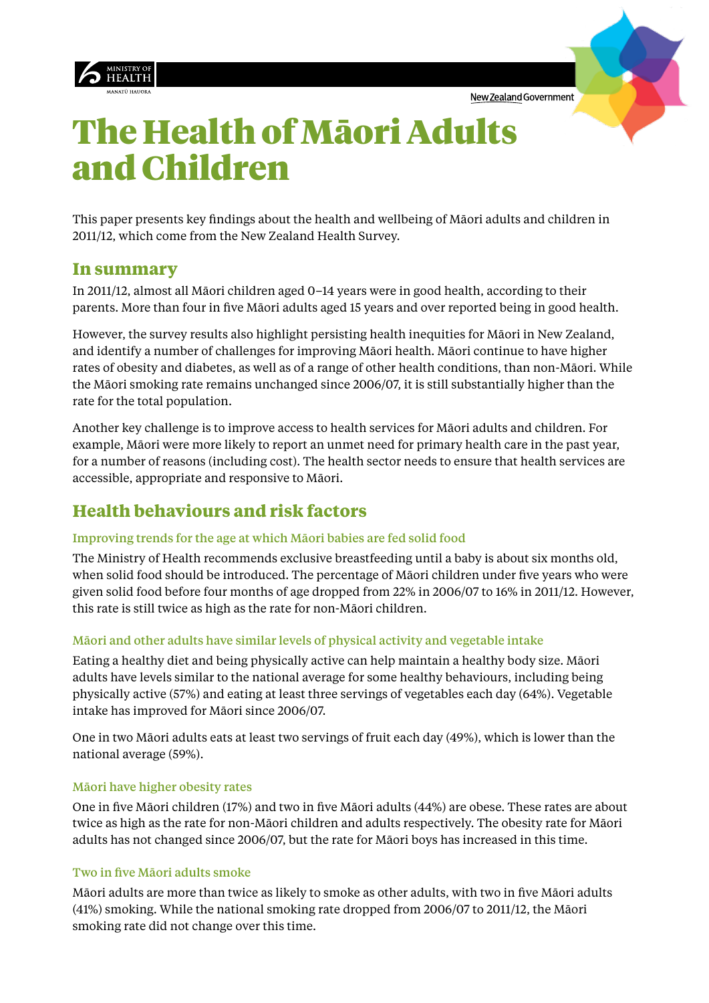





This paper presents key findings about the health and wellbeing of Māori adults and children in 2011/12, which come from the New Zealand Health Survey.

### **In summary**

In 2011/12, almost all Māori children aged 0–14 years were in good health, according to their parents. More than four in five Māori adults aged 15 years and over reported being in good health.

However, the survey results also highlight persisting health inequities for Māori in New Zealand, and identify a number of challenges for improving Māori health. Māori continue to have higher rates of obesity and diabetes, as well as of a range of other health conditions, than non-Māori. While the Māori smoking rate remains unchanged since 2006/07, it is still substantially higher than the rate for the total population.

Another key challenge is to improve access to health services for Māori adults and children. For example, Māori were more likely to report an unmet need for primary health care in the past year, for a number of reasons (including cost). The health sector needs to ensure that health services are accessible, appropriate and responsive to Māori.

## **Health behaviours and risk factors**

#### Improving trends for the age at which Māori babies are fed solid food

The Ministry of Health recommends exclusive breastfeeding until a baby is about six months old, when solid food should be introduced. The percentage of Māori children under five years who were given solid food before four months of age dropped from 22% in 2006/07 to 16% in 2011/12. However, this rate is still twice as high as the rate for non-Māori children.

#### Māori and other adults have similar levels of physical activity and vegetable intake

Eating a healthy diet and being physically active can help maintain a healthy body size. Māori adults have levels similar to the national average for some healthy behaviours, including being physically active (57%) and eating at least three servings of vegetables each day (64%). Vegetable intake has improved for Māori since 2006/07.

One in two Māori adults eats at least two servings of fruit each day (49%), which is lower than the national average (59%).

#### Māori have higher obesity rates

One in five Māori children (17%) and two in five Māori adults (44%) are obese. These rates are about twice as high as the rate for non-Māori children and adults respectively. The obesity rate for Māori adults has not changed since 2006/07, but the rate for Māori boys has increased in this time.

#### Two in five Māori adults smoke

Māori adults are more than twice as likely to smoke as other adults, with two in five Māori adults (41%) smoking. While the national smoking rate dropped from 2006/07 to 2011/12, the Māori smoking rate did not change over this time.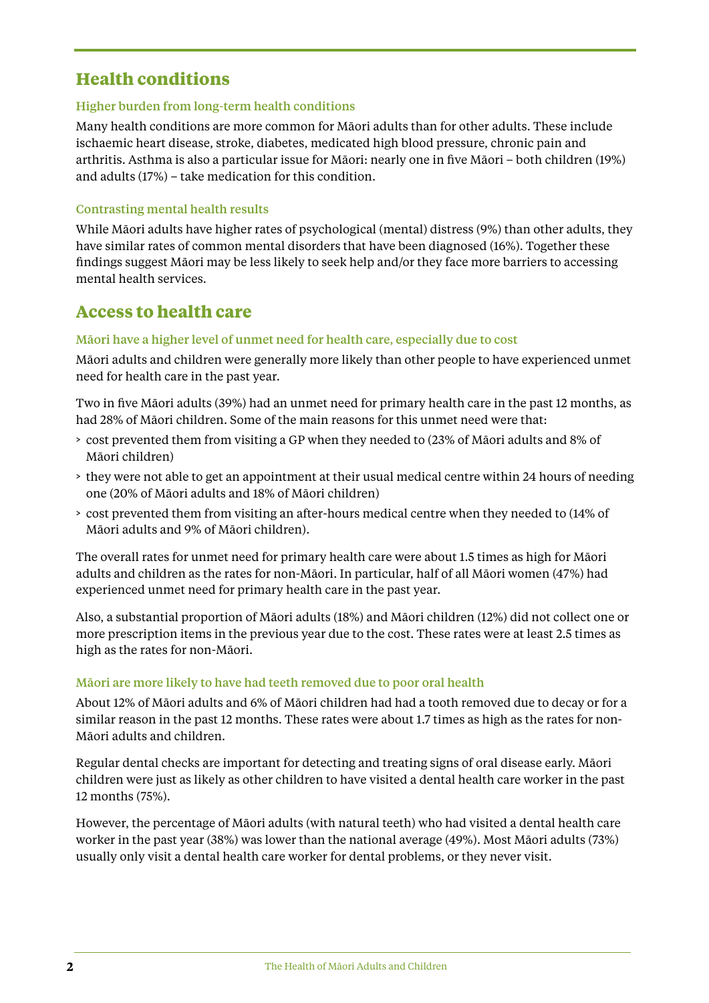## **Health conditions**

#### Higher burden from long-term health conditions

Many health conditions are more common for Māori adults than for other adults. These include ischaemic heart disease, stroke, diabetes, medicated high blood pressure, chronic pain and arthritis. Asthma is also a particular issue for Māori: nearly one in five Māori – both children (19%) and adults (17%) – take medication for this condition.

#### Contrasting mental health results

While Māori adults have higher rates of psychological (mental) distress (9%) than other adults, they have similar rates of common mental disorders that have been diagnosed (16%). Together these findings suggest Māori may be less likely to seek help and/or they face more barriers to accessing mental health services.

### **Access to health care**

#### Māori have a higher level of unmet need for health care, especially due to cost

Māori adults and children were generally more likely than other people to have experienced unmet need for health care in the past year.

Two in five Māori adults (39%) had an unmet need for primary health care in the past 12 months, as had 28% of Māori children. Some of the main reasons for this unmet need were that:

- > cost prevented them from visiting a GP when they needed to (23% of Māori adults and 8% of Māori children)
- > they were not able to get an appointment at their usual medical centre within 24 hours of needing one (20% of Māori adults and 18% of Māori children)
- > cost prevented them from visiting an after-hours medical centre when they needed to (14% of Māori adults and 9% of Māori children).

The overall rates for unmet need for primary health care were about 1.5 times as high for Māori adults and children as the rates for non-Māori. In particular, half of all Māori women (47%) had experienced unmet need for primary health care in the past year.

Also, a substantial proportion of Māori adults (18%) and Māori children (12%) did not collect one or more prescription items in the previous year due to the cost. These rates were at least 2.5 times as high as the rates for non-Māori.

#### Māori are more likely to have had teeth removed due to poor oral health

About 12% of Māori adults and 6% of Māori children had had a tooth removed due to decay or for a similar reason in the past 12 months. These rates were about 1.7 times as high as the rates for non-Māori adults and children.

Regular dental checks are important for detecting and treating signs of oral disease early. Māori children were just as likely as other children to have visited a dental health care worker in the past 12 months (75%).

However, the percentage of Māori adults (with natural teeth) who had visited a dental health care worker in the past year (38%) was lower than the national average (49%). Most Māori adults (73%) usually only visit a dental health care worker for dental problems, or they never visit.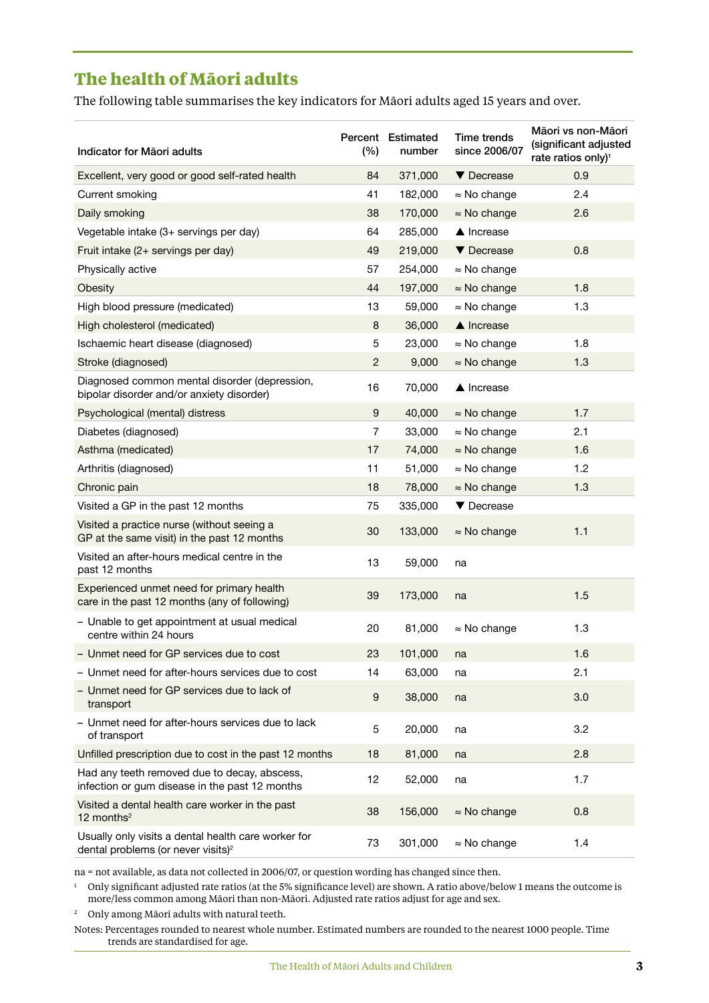## **The health of Māori adults**

The following table summarises the key indicators for Māori adults aged 15 years and over.

| Indicator for Māori adults                                                                            | (%)              | Percent Estimated<br>number | <b>Time trends</b><br>since 2006/07 | Māori vs non-Māori<br>(significant adjusted<br>rate ratios only) <sup>1</sup> |
|-------------------------------------------------------------------------------------------------------|------------------|-----------------------------|-------------------------------------|-------------------------------------------------------------------------------|
| Excellent, very good or good self-rated health                                                        | 84               | 371,000                     | ▼ Decrease                          | 0.9                                                                           |
| Current smoking                                                                                       | 41               | 182,000                     | $\approx$ No change                 | 2.4                                                                           |
| Daily smoking                                                                                         | 38               | 170,000                     | $\approx$ No change                 | 2.6                                                                           |
| Vegetable intake (3+ servings per day)                                                                | 64               | 285,000                     | ▲ Increase                          |                                                                               |
| Fruit intake (2+ servings per day)                                                                    | 49               | 219,000                     | ▼ Decrease                          | 0.8                                                                           |
| Physically active                                                                                     | 57               | 254,000                     | $\approx$ No change                 |                                                                               |
| Obesity                                                                                               | 44               | 197,000                     | $\approx$ No change                 | 1.8                                                                           |
| High blood pressure (medicated)                                                                       | 13               | 59,000                      | $\approx$ No change                 | 1.3                                                                           |
| High cholesterol (medicated)                                                                          | 8                | 36,000                      | $\triangle$ Increase                |                                                                               |
| Ischaemic heart disease (diagnosed)                                                                   | 5                | 23,000                      | $\approx$ No change                 | 1.8                                                                           |
| Stroke (diagnosed)                                                                                    | $\overline{c}$   | 9,000                       | $\approx$ No change                 | 1.3                                                                           |
| Diagnosed common mental disorder (depression,<br>bipolar disorder and/or anxiety disorder)            | 16               | 70,000                      | $\triangle$ Increase                |                                                                               |
| Psychological (mental) distress                                                                       | 9                | 40,000                      | $\approx$ No change                 | 1.7                                                                           |
| Diabetes (diagnosed)                                                                                  | 7                | 33,000                      | $\approx$ No change                 | 2.1                                                                           |
| Asthma (medicated)                                                                                    | 17               | 74,000                      | $\approx$ No change                 | 1.6                                                                           |
| Arthritis (diagnosed)                                                                                 | 11               | 51,000                      | $\approx$ No change                 | 1.2                                                                           |
| Chronic pain                                                                                          | 18               | 78,000                      | $\approx$ No change                 | 1.3                                                                           |
| Visited a GP in the past 12 months                                                                    | 75               | 335,000                     | ▼ Decrease                          |                                                                               |
| Visited a practice nurse (without seeing a<br>GP at the same visit) in the past 12 months             | 30               | 133,000                     | $\approx$ No change                 | 1.1                                                                           |
| Visited an after-hours medical centre in the<br>past 12 months                                        | 13               | 59,000                      | na                                  |                                                                               |
| Experienced unmet need for primary health<br>care in the past 12 months (any of following)            | 39               | 173,000                     | na                                  | 1.5                                                                           |
| - Unable to get appointment at usual medical<br>centre within 24 hours                                | 20               | 81,000                      | $\approx$ No change                 | 1.3                                                                           |
| - Unmet need for GP services due to cost                                                              | 23               | 101,000                     | na                                  | 1.6                                                                           |
| - Unmet need for after-hours services due to cost                                                     | 14               | 63,000                      | na                                  | 2.1                                                                           |
| - Unmet need for GP services due to lack of<br>transport                                              | $\boldsymbol{9}$ | 38,000                      | na                                  | 3.0                                                                           |
| - Unmet need for after-hours services due to lack<br>of transport                                     | 5                | 20,000                      | na                                  | 3.2                                                                           |
| Unfilled prescription due to cost in the past 12 months                                               | 18               | 81,000                      | na                                  | 2.8                                                                           |
| Had any teeth removed due to decay, abscess,<br>infection or gum disease in the past 12 months        | 12               | 52,000                      | na                                  | 1.7                                                                           |
| Visited a dental health care worker in the past<br>12 months $2$                                      | 38               | 156,000                     | $\approx$ No change                 | 0.8                                                                           |
| Usually only visits a dental health care worker for<br>dental problems (or never visits) <sup>2</sup> | 73               | 301,000                     | $\approx$ No change                 | 1.4                                                                           |

na = not available, as data not collected in 2006/07, or question wording has changed since then.

<sup>1</sup> Only significant adjusted rate ratios (at the 5% significance level) are shown. A ratio above/below 1 means the outcome is more/less common among Māori than non-Māori. Adjusted rate ratios adjust for age and sex.

<sup>2</sup> Only among Māori adults with natural teeth.

Notes: Percentages rounded to nearest whole number. Estimated numbers are rounded to the nearest 1000 people. Time trends are standardised for age.